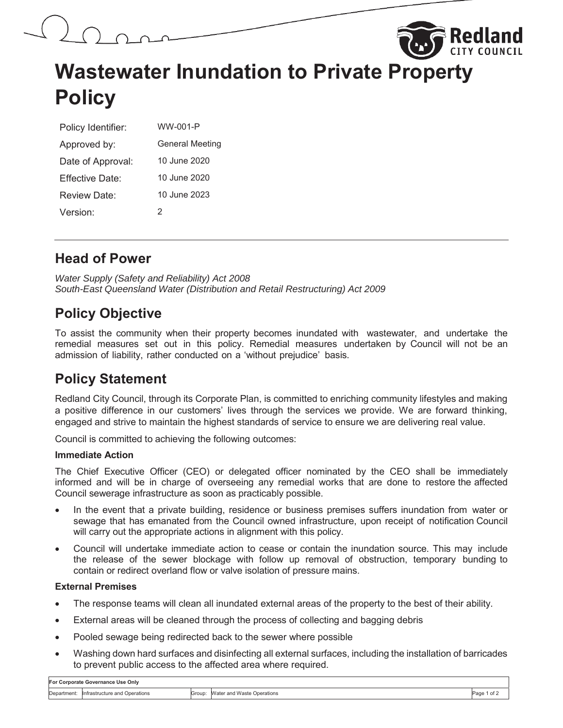



# **Wastewater Inundation to Private Property Policy**

| Policy Identifier: | WW-001-P               |
|--------------------|------------------------|
| Approved by:       | <b>General Meeting</b> |
| Date of Approval:  | 10 June 2020           |
| Fffective Date:    | 10 June 2020           |
| Review Date:       | 10 June 2023           |
| Version:           | 2                      |

# **Head of Power**

*Water Supply (Safety and Reliability) Act 2008 South-East Queensland Water (Distribution and Retail Restructuring) Act 2009* 

# **Policy Objective**

To assist the community when their property becomes inundated with wastewater, and undertake the remedial measures set out in this policy. Remedial measures undertaken by Council will not be an admission of liability, rather conducted on a 'without prejudice' basis.

# **Policy Statement**

Redland City Council, through its Corporate Plan, is committed to enriching community lifestyles and making a positive difference in our customers' lives through the services we provide. We are forward thinking, engaged and strive to maintain the highest standards of service to ensure we are delivering real value.

Council is committed to achieving the following outcomes:

### **Immediate Action**

The Chief Executive Officer (CEO) or delegated officer nominated by the CEO shall be immediately informed and will be in charge of overseeing any remedial works that are done to restore the affected Council sewerage infrastructure as soon as practicably possible.

- In the event that a private building, residence or business premises suffers inundation from water or sewage that has emanated from the Council owned infrastructure, upon receipt of notification Council will carry out the appropriate actions in alignment with this policy.
- Council will undertake immediate action to cease or contain the inundation source. This may include the release of the sewer blockage with follow up removal of obstruction, temporary bunding to contain or redirect overland flow or valve isolation of pressure mains.

### **External Premises**

- The response teams will clean all inundated external areas of the property to the best of their ability.
- External areas will be cleaned through the process of collecting and bagging debris
- Pooled sewage being redirected back to the sewer where possible
- Washing down hard surfaces and disinfecting all external surfaces, including the installation of barricades to prevent public access to the affected area where required.

| For Corporate Governance Use Only |                                           |        |                              |        |  |  |  |
|-----------------------------------|-------------------------------------------|--------|------------------------------|--------|--|--|--|
|                                   | Department: Infrastructure and Operations | Group: | : Water and Waste Operations | ' of . |  |  |  |